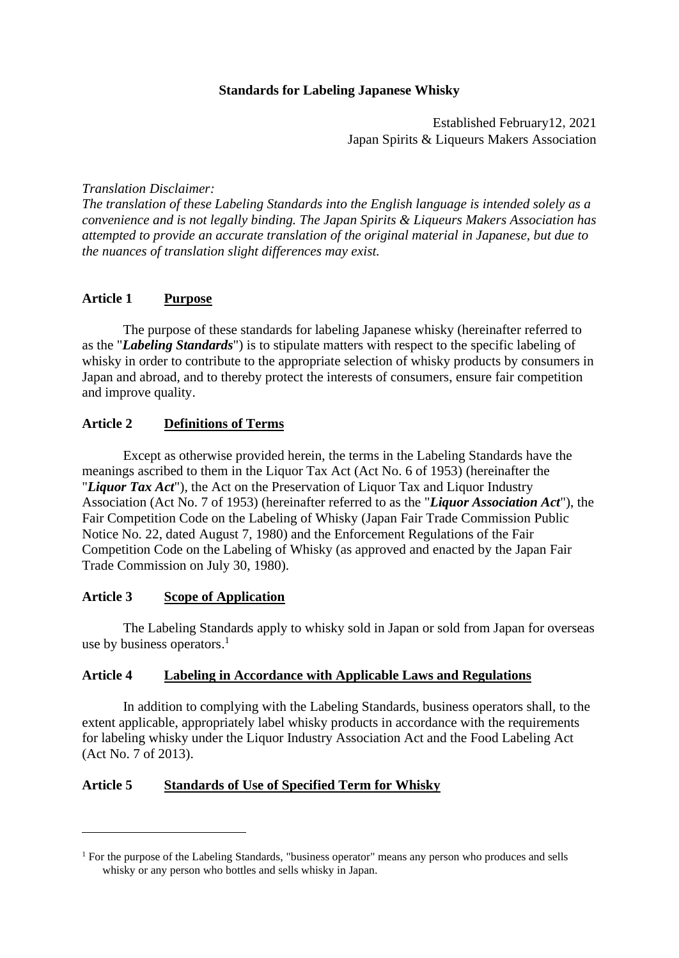# **Standards for Labeling Japanese Whisky**

Established February12,2021 Japan Spirits & Liqueurs Makers Association

*Translation Disclaimer:* 

*The translation of these Labeling Standards into the English language is intended solely as a convenience and is not legally binding. The Japan Spirits & Liqueurs Makers Association has attempted to provide an accurate translation of the original material in Japanese, but due to the nuances of translation slight differences may exist.* 

# **Article 1 Purpose**

The purpose of these standards for labeling Japanese whisky (hereinafter referred to as the "*Labeling Standards*") is to stipulate matters with respect to the specific labeling of whisky in order to contribute to the appropriate selection of whisky products by consumers in Japan and abroad, and to thereby protect the interests of consumers, ensure fair competition and improve quality.

## **Article 2 Definitions of Terms**

Except as otherwise provided herein, the terms in the Labeling Standards have the meanings ascribed to them in the Liquor Tax Act (Act No. 6 of 1953) (hereinafter the "*Liquor Tax Act*"), the Act on the Preservation of Liquor Tax and Liquor Industry Association (Act No. 7 of 1953) (hereinafter referred to as the "*Liquor Association Act*"), the Fair Competition Code on the Labeling of Whisky (Japan Fair Trade Commission Public Notice No. 22, dated August 7, 1980) and the Enforcement Regulations of the Fair Competition Code on the Labeling of Whisky (as approved and enacted by the Japan Fair Trade Commission on July 30, 1980).

## **Article 3 Scope of Application**

The Labeling Standards apply to whisky sold in Japan or sold from Japan for overseas use by business operators.<sup>1</sup>

## **Article 4 Labeling in Accordance with Applicable Laws and Regulations**

In addition to complying with the Labeling Standards, business operators shall, to the extent applicable, appropriately label whisky products in accordance with the requirements for labeling whisky under the Liquor Industry Association Act and the Food Labeling Act (Act No. 7 of 2013).

## **Article 5 Standards of Use of Specified Term for Whisky**

 $<sup>1</sup>$  For the purpose of the Labeling Standards, "business operator" means any person who produces and sells</sup> whisky or any person who bottles and sells whisky in Japan.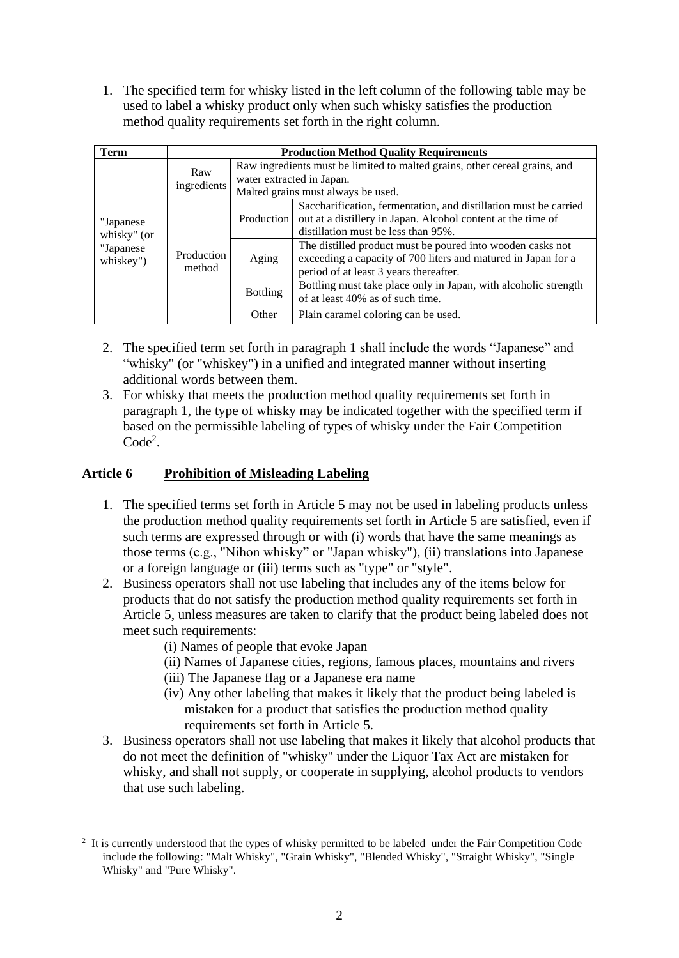1. The specified term for whisky listed in the left column of the following table may be used to label a whisky product only when such whisky satisfies the production method quality requirements set forth in the right column.

| Term                                                 | <b>Production Method Quality Requirements</b> |                                                                                                                                               |                                                                                                                                                                         |  |
|------------------------------------------------------|-----------------------------------------------|-----------------------------------------------------------------------------------------------------------------------------------------------|-------------------------------------------------------------------------------------------------------------------------------------------------------------------------|--|
| "Japanese"<br>whisky" (or<br>"Japanese"<br>whiskey") | Raw<br>ingredients                            | Raw ingredients must be limited to malted grains, other cereal grains, and<br>water extracted in Japan.<br>Malted grains must always be used. |                                                                                                                                                                         |  |
|                                                      | Production<br>method                          | Production                                                                                                                                    | Saccharification, fermentation, and distillation must be carried<br>out at a distillery in Japan. Alcohol content at the time of<br>distillation must be less than 95%. |  |
|                                                      |                                               | Aging                                                                                                                                         | The distilled product must be poured into wooden casks not<br>exceeding a capacity of 700 liters and matured in Japan for a<br>period of at least 3 years thereafter.   |  |
|                                                      |                                               | <b>Bottling</b>                                                                                                                               | Bottling must take place only in Japan, with alcoholic strength<br>of at least 40% as of such time.                                                                     |  |
|                                                      |                                               | Other                                                                                                                                         | Plain caramel coloring can be used.                                                                                                                                     |  |

- 2. The specified term set forth in paragraph 1 shall include the words "Japanese" and "whisky" (or "whiskey") in a unified and integrated manner without inserting additional words between them.
- 3. For whisky that meets the production method quality requirements set forth in paragraph 1, the type of whisky may be indicated together with the specified term if based on the permissible labeling of types of whisky under the Fair Competition Code<sup>2</sup>.

# **Article 6 Prohibition of Misleading Labeling**

- 1. The specified terms set forth in Article 5 may not be used in labeling products unless the production method quality requirements set forth in Article 5 are satisfied, even if such terms are expressed through or with (i) words that have the same meanings as those terms (e.g., "Nihon whisky" or "Japan whisky"), (ii) translations into Japanese or a foreign language or (iii) terms such as "type" or "style".
- 2. Business operators shall not use labeling that includes any of the items below for products that do not satisfy the production method quality requirements set forth in Article 5, unless measures are taken to clarify that the product being labeled does not meet such requirements:
	- (i) Names of people that evoke Japan
	- (ii) Names of Japanese cities, regions, famous places, mountains and rivers
	- (iii) The Japanese flag or a Japanese era name
	- (iv) Any other labeling that makes it likely that the product being labeled is mistaken for a product that satisfies the production method quality requirements set forth in Article 5.
- 3. Business operators shall not use labeling that makes it likely that alcohol products that do not meet the definition of "whisky" under the Liquor Tax Act are mistaken for whisky, and shall not supply, or cooperate in supplying, alcohol products to vendors that use such labeling.

<sup>&</sup>lt;sup>2</sup> It is currently understood that the types of whisky permitted to be labeled under the Fair Competition Code include the following: "Malt Whisky", "Grain Whisky", "Blended Whisky", "Straight Whisky", "Single Whisky" and "Pure Whisky".